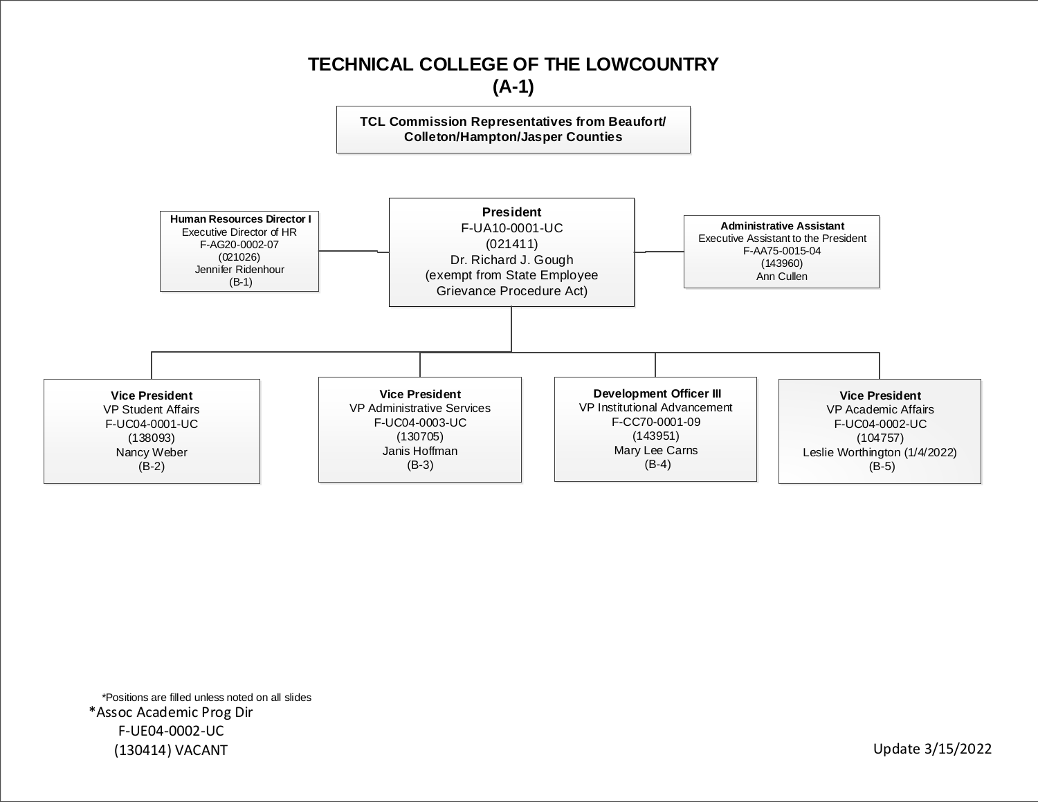

\*Positions are filled unless noted on all slides \*Assoc Academic Prog Dir F-UE04-0002-UC (130414) VACANT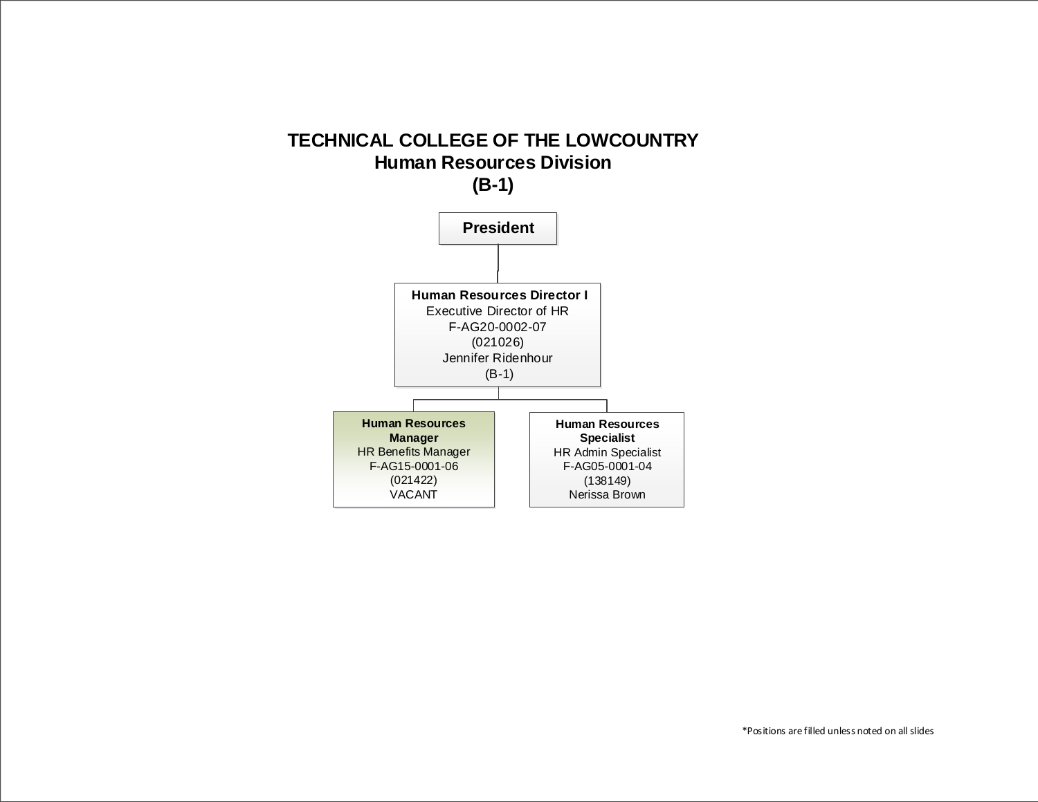## **TECHNICAL COLLEGE OF THE LOWCOUNTRY Human Resources Division (B-1)**

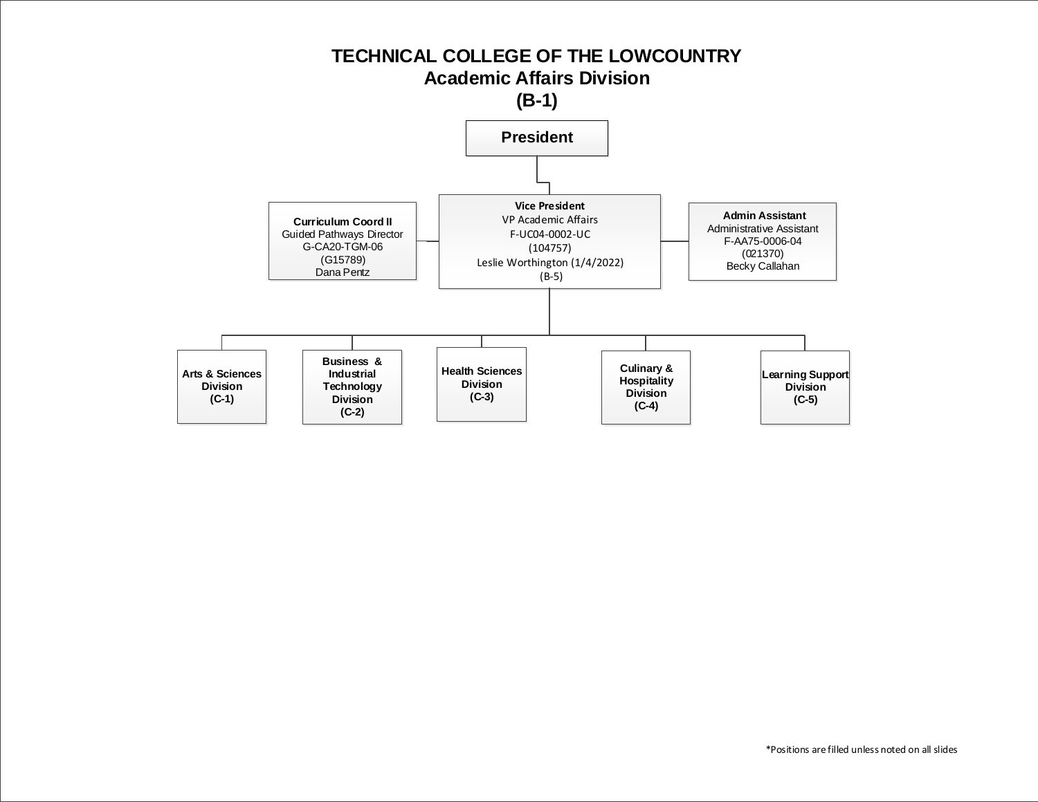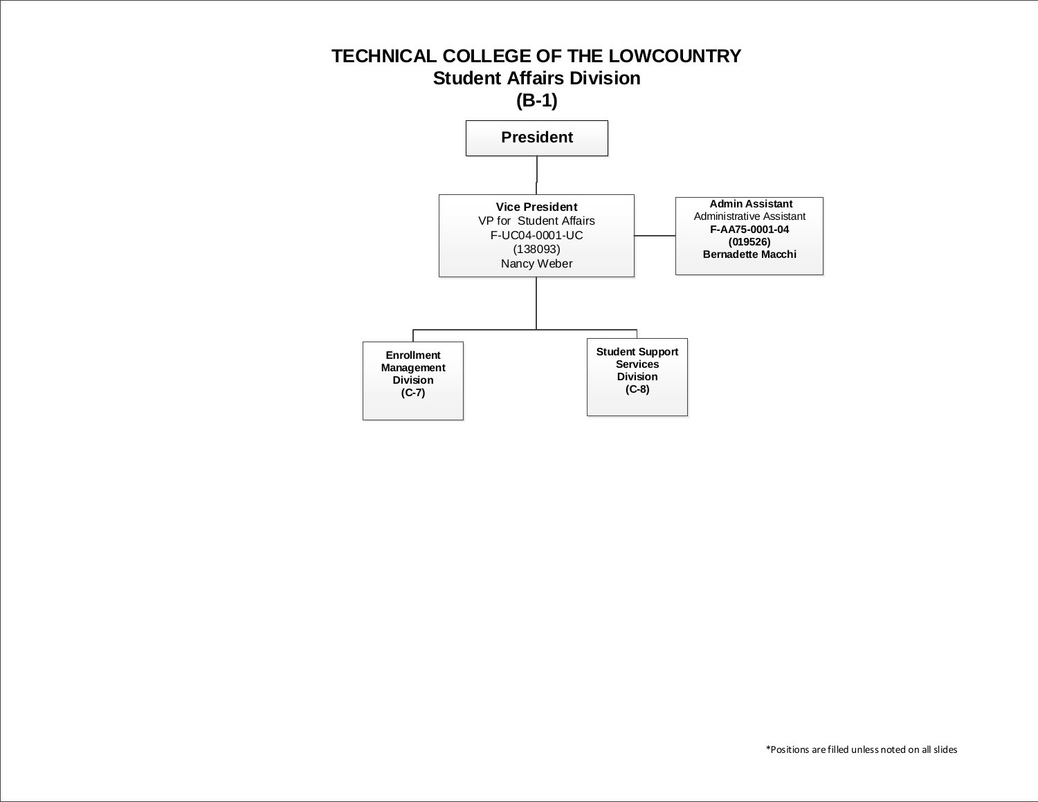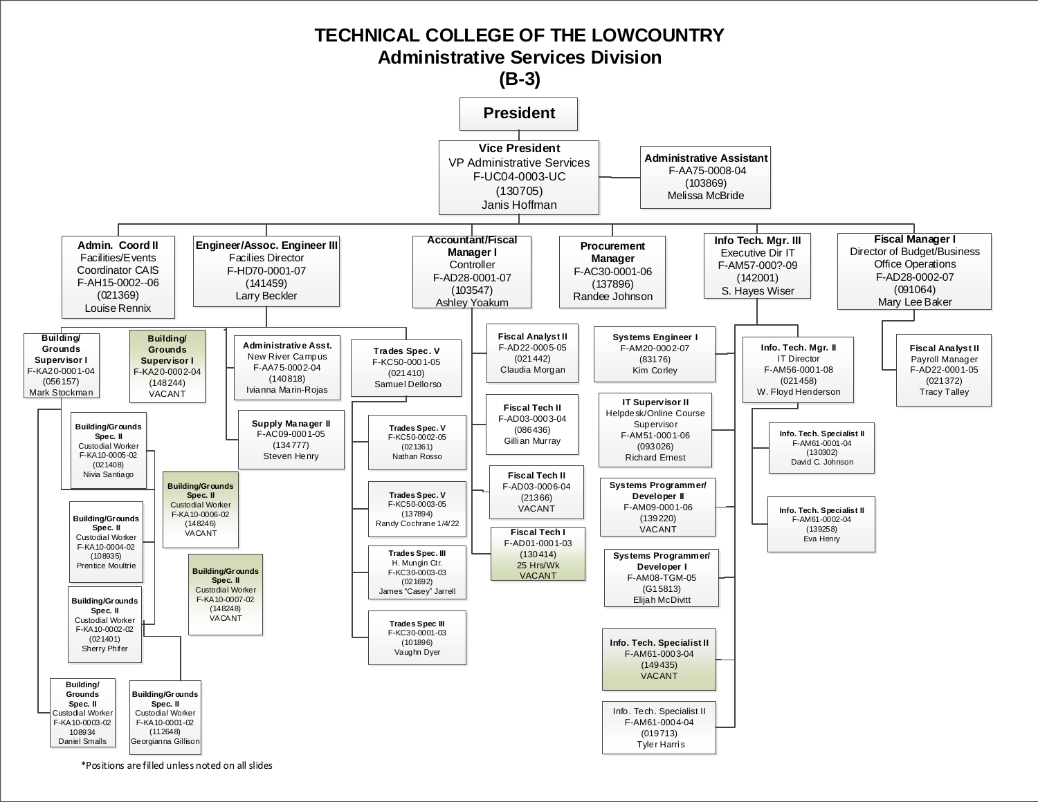

\*Positions are filled unless noted on all slides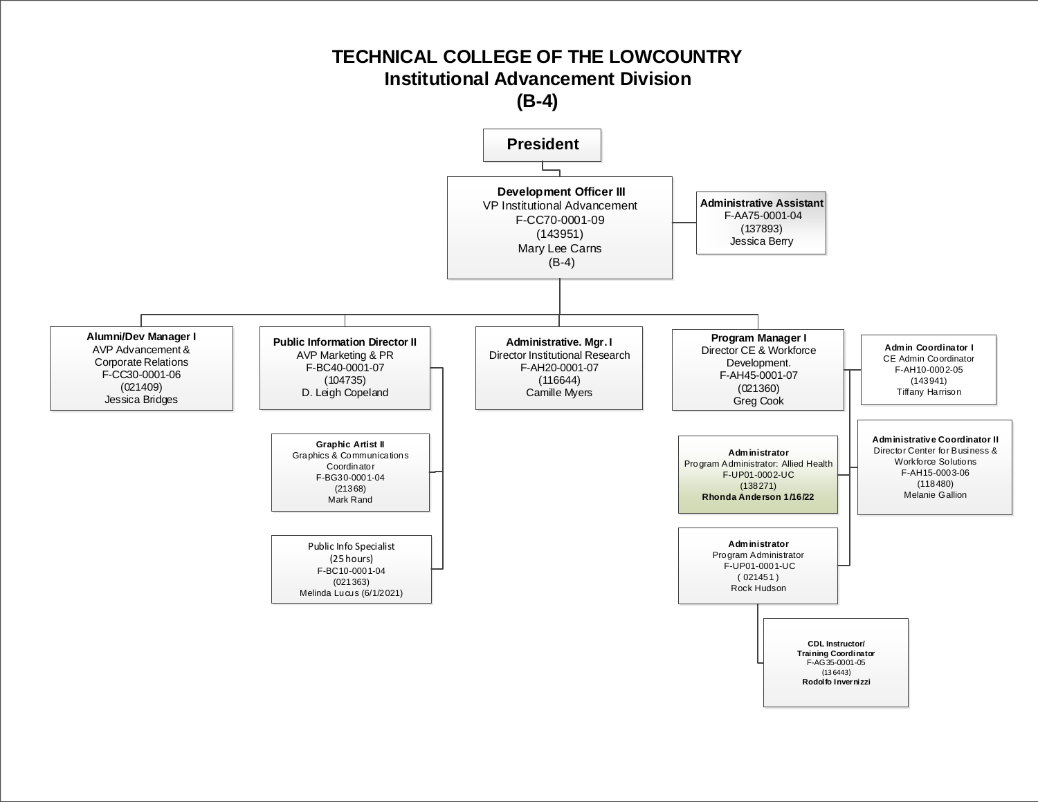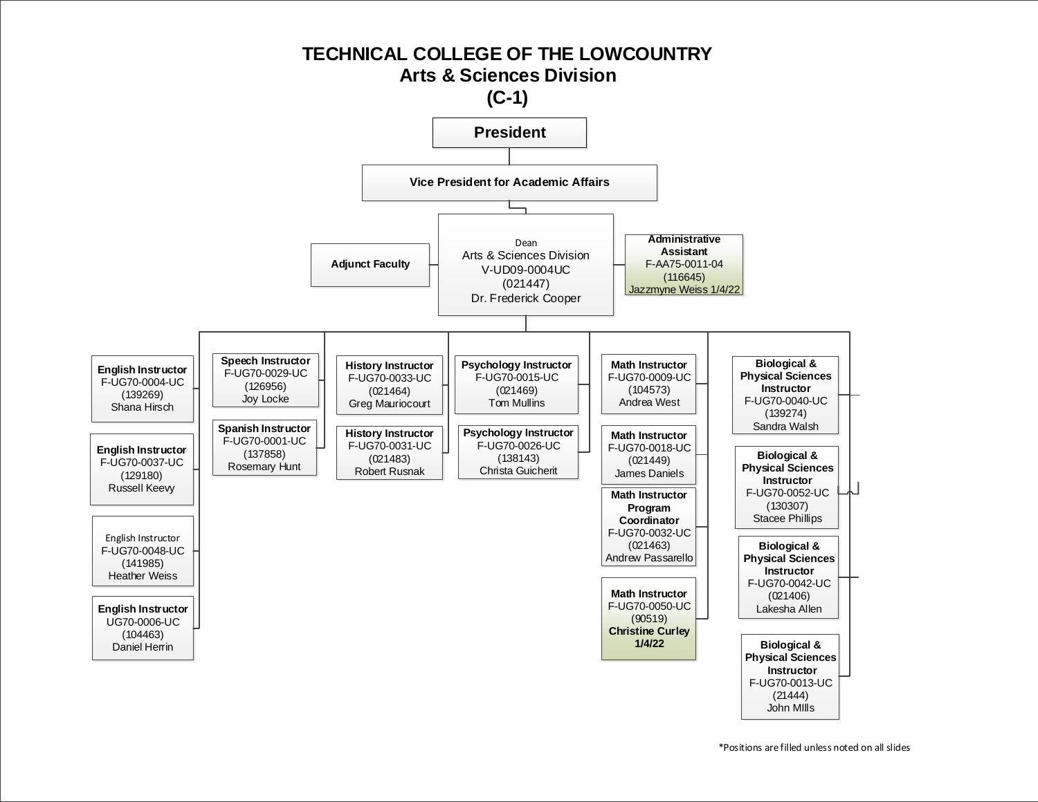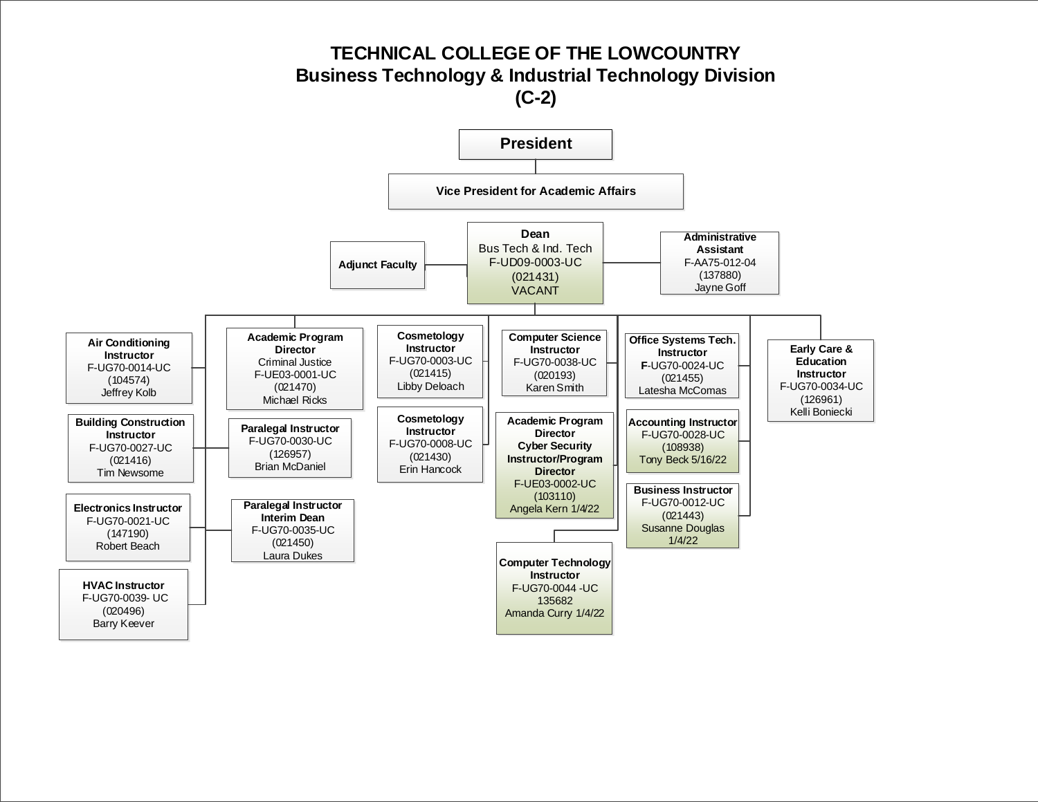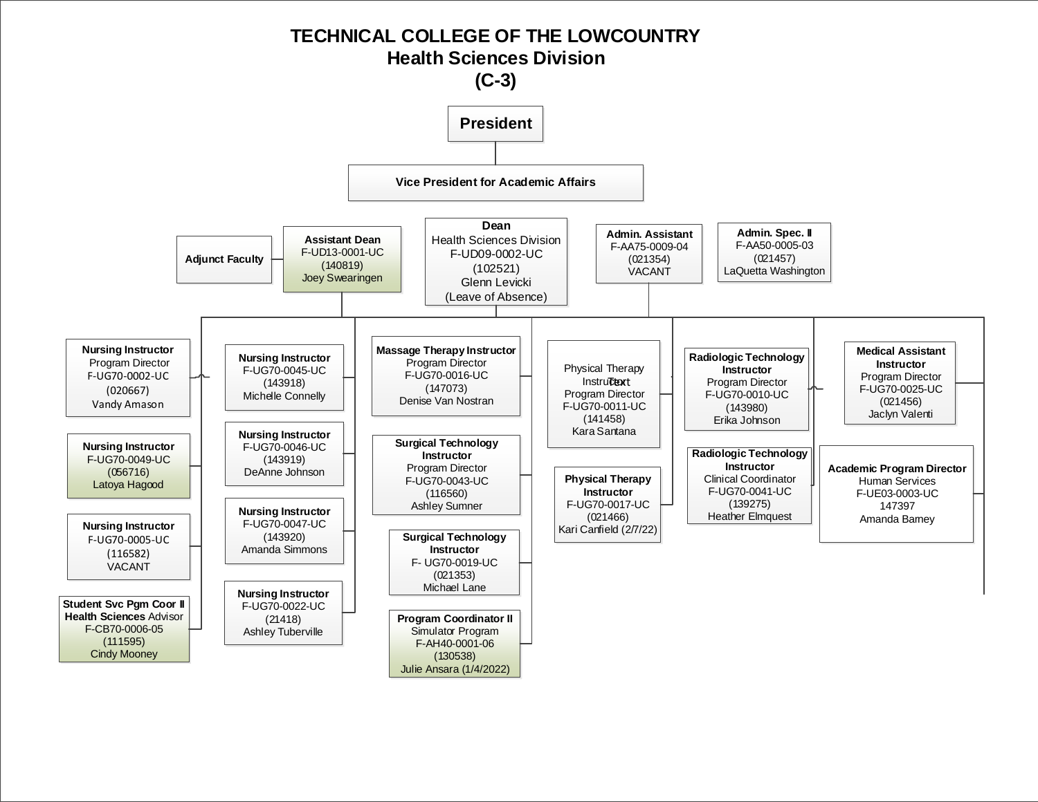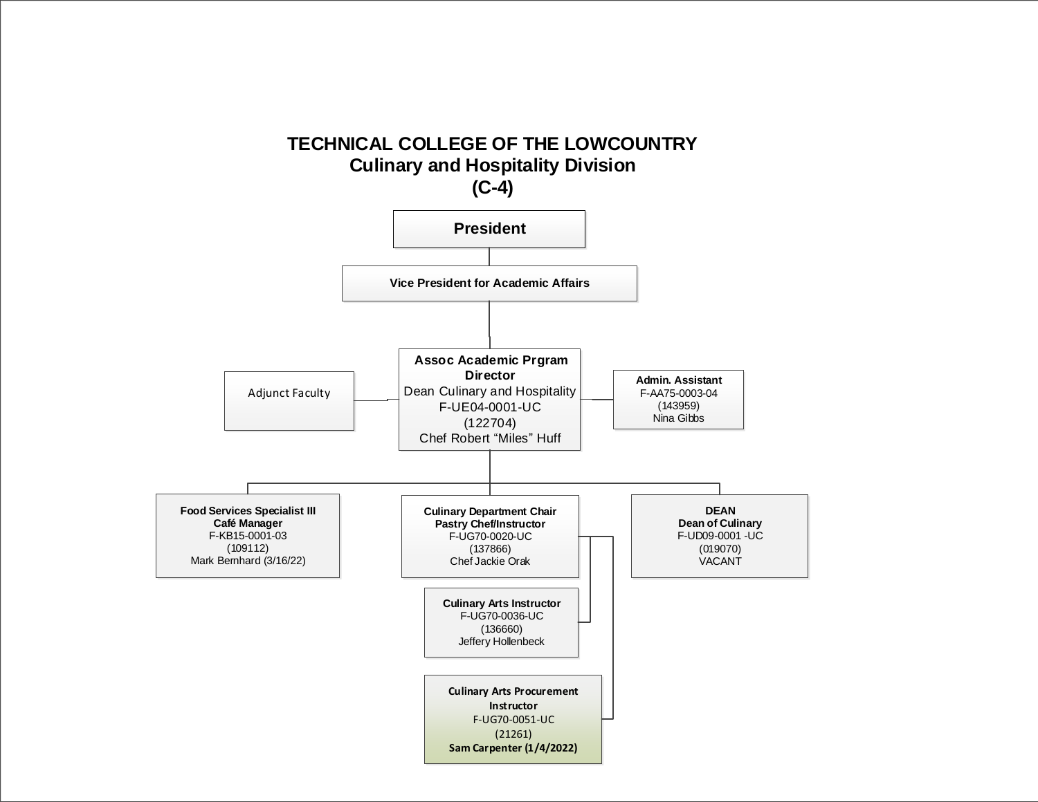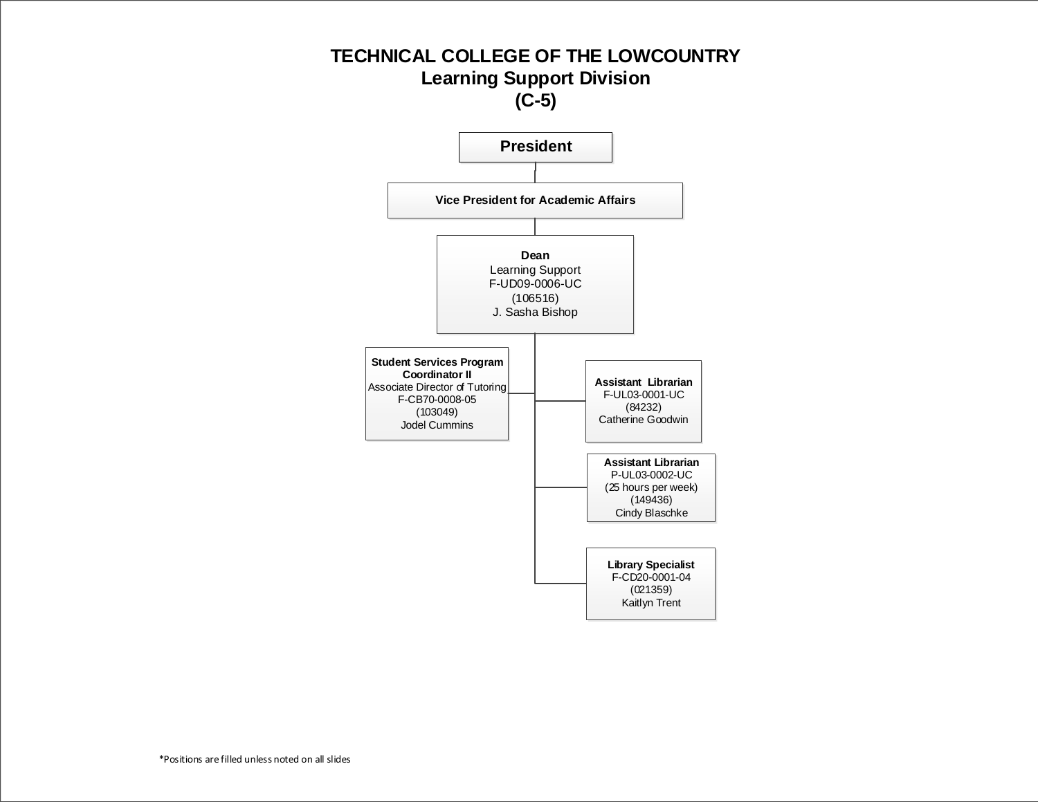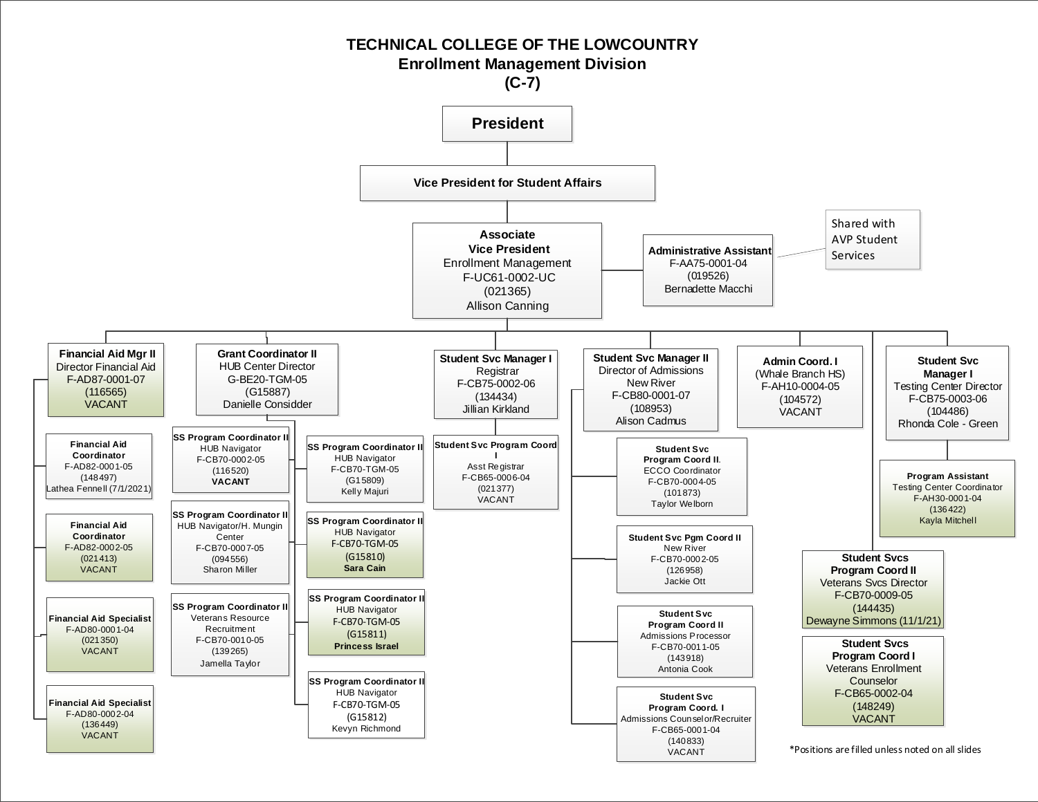